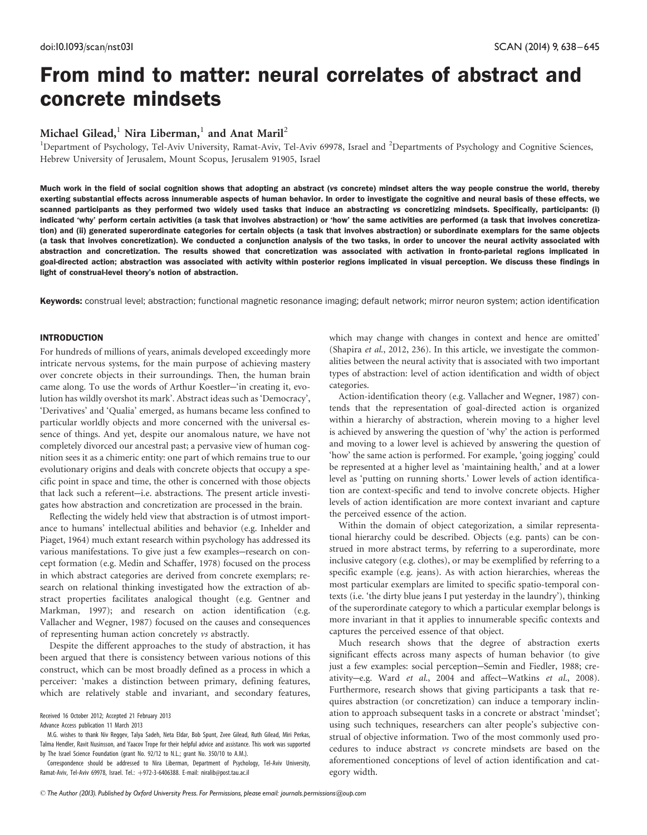# From mind to matter: neural correlates of abstract and concrete mindsets

# Michael Gilead,<sup>1</sup> Nira Liberman,<sup>1</sup> and Anat Maril<sup>2</sup>

<sup>1</sup>Department of Psychology, Tel-Aviv University, Ramat-Aviv, Tel-Aviv 69978, Israel and <sup>2</sup>Departments of Psychology and Cognitive Sciences, Hebrew University of Jerusalem, Mount Scopus, Jerusalem 91905, Israel

Much work in the field of social cognition shows that adopting an abstract (vs concrete) mindset alters the way people construe the world, thereby exerting substantial effects across innumerable aspects of human behavior. In order to investigate the cognitive and neural basis of these effects, we scanned participants as they performed two widely used tasks that induce an abstracting vs concretizing mindsets. Specifically, participants: (i) indicated 'why' perform certain activities (a task that involves abstraction) or 'how' the same activities are performed (a task that involves concretization) and (ii) generated superordinate categories for certain objects (a task that involves abstraction) or subordinate exemplars for the same objects (a task that involves concretization). We conducted a conjunction analysis of the two tasks, in order to uncover the neural activity associated with abstraction and concretization. The results showed that concretization was associated with activation in fronto-parietal regions implicated in goal-directed action; abstraction was associated with activity within posterior regions implicated in visual perception. We discuss these findings in light of construal-level theory's notion of abstraction.

Keywords: construal level; abstraction; functional magnetic resonance imaging; default network; mirror neuron system; action identification

## INTRODUCTION

For hundreds of millions of years, animals developed exceedingly more intricate nervous systems, for the main purpose of achieving mastery over concrete objects in their surroundings. Then, the human brain came along. To use the words of Arthur Koestler-'in creating it, evolution has wildly overshot its mark'. Abstract ideas such as 'Democracy', 'Derivatives' and 'Qualia' emerged, as humans became less confined to particular worldly objects and more concerned with the universal essence of things. And yet, despite our anomalous nature, we have not completely divorced our ancestral past; a pervasive view of human cognition sees it as a chimeric entity: one part of which remains true to our evolutionary origins and deals with concrete objects that occupy a specific point in space and time, the other is concerned with those objects that lack such a referent-i.e. abstractions. The present article investigates how abstraction and concretization are processed in the brain.

Reflecting the widely held view that abstraction is of utmost importance to humans' intellectual abilities and behavior (e.g. [Inhelder and](#page-6-0) [Piaget, 1964](#page-6-0)) much extant research within psychology has addressed its various manifestations. To give just a few examples-research on concept formation (e.g. [Medin and Schaffer, 1978\)](#page-6-0) focused on the process in which abstract categories are derived from concrete exemplars; research on relational thinking investigated how the extraction of abstract properties facilitates analogical thought (e.g. [Gentner and](#page-6-0) [Markman, 1997](#page-6-0)); and research on action identification (e.g. [Vallacher and Wegner, 1987\)](#page-6-0) focused on the causes and consequences of representing human action concretely vs abstractly.

Despite the different approaches to the study of abstraction, it has been argued that there is consistency between various notions of this construct, which can be most broadly defined as a process in which a perceiver: 'makes a distinction between primary, defining features, which are relatively stable and invariant, and secondary features,

Advance Access publication 11 March 2013

Correspondence should be addressed to Nira Liberman, Department of Psychology, Tel-Aviv University, Ramat-Aviv, Tel-Aviv 69978, Israel. Tel.: +972-3-6406388. E-mail: niralib@post.tau.ac.il

which may change with changes in context and hence are omitted' [\(Shapira](#page-6-0) et al., 2012, 236). In this article, we investigate the commonalities between the neural activity that is associated with two important types of abstraction: level of action identification and width of object categories.

Action-identification theory (e.g. [Vallacher and Wegner, 1987](#page-6-0)) contends that the representation of goal-directed action is organized within a hierarchy of abstraction, wherein moving to a higher level is achieved by answering the question of 'why' the action is performed and moving to a lower level is achieved by answering the question of 'how' the same action is performed. For example, 'going jogging' could be represented at a higher level as 'maintaining health,' and at a lower level as 'putting on running shorts.' Lower levels of action identification are context-specific and tend to involve concrete objects. Higher levels of action identification are more context invariant and capture the perceived essence of the action.

Within the domain of object categorization, a similar representational hierarchy could be described. Objects (e.g. pants) can be construed in more abstract terms, by referring to a superordinate, more inclusive category (e.g. clothes), or may be exemplified by referring to a specific example (e.g. jeans). As with action hierarchies, whereas the most particular exemplars are limited to specific spatio-temporal contexts (i.e. 'the dirty blue jeans I put yesterday in the laundry'), thinking of the superordinate category to which a particular exemplar belongs is more invariant in that it applies to innumerable specific contexts and captures the perceived essence of that object.

Much research shows that the degree of abstraction exerts significant effects across many aspects of human behavior (to give just a few examples: social perception-[Semin and Fiedler, 1988](#page-6-0); cre-ativity-e.g. Ward et al[., 2004](#page-6-0) and affect-[Watkins](#page-6-0) et al., 2008). Furthermore, research shows that giving participants a task that requires abstraction (or concretization) can induce a temporary inclination to approach subsequent tasks in a concrete or abstract 'mindset'; using such techniques, researchers can alter people's subjective construal of objective information. Two of the most commonly used procedures to induce abstract vs concrete mindsets are based on the aforementioned conceptions of level of action identification and category width.

Received 16 October 2012; Accepted 21 February 2013

M.G. wishes to thank Niv Reggev, Talya Sadeh, Neta Eldar, Bob Spunt, Zvee Gilead, Ruth Gilead, Miri Perkas, Talma Hendler, Ravit Nusinsson, and Yaacov Trope for their helpful advice and assistance. This work was supported by The Israel Science Foundation (grant No. 92/12 to N.L.; grant No. 350/10 to A.M.).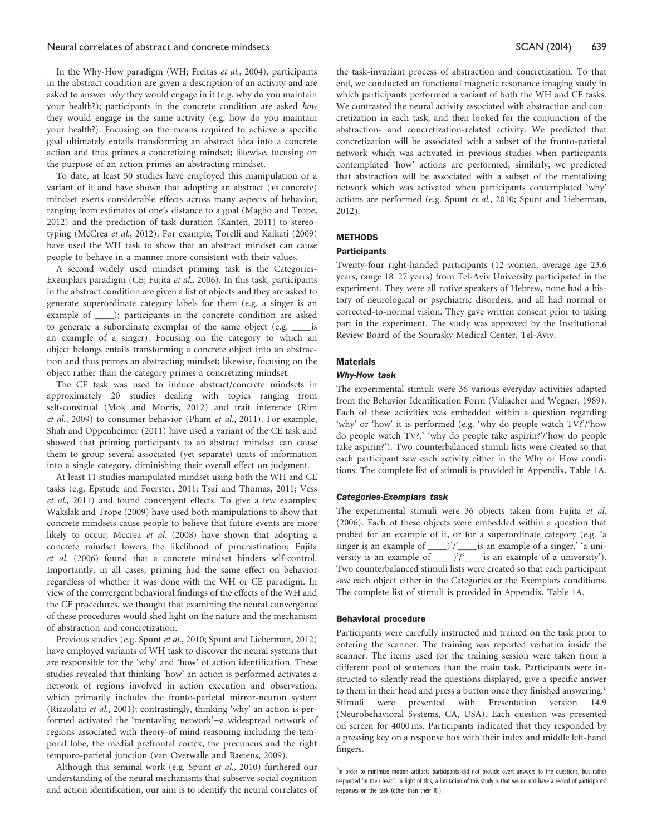## Neural correlates of abstract and concrete mindsets SCAN (2014) 639

In the Why-How paradigm (WH; Freitas et al[., 2004\)](#page-6-0), participants in the abstract condition are given a description of an activity and are asked to answer why they would engage in it (e.g. why do you maintain your health?); participants in the concrete condition are asked how they would engage in the same activity (e.g. how do you maintain your health?). Focusing on the means required to achieve a specific goal ultimately entails transforming an abstract idea into a concrete action and thus primes a concretizing mindset; likewise, focusing on the purpose of an action primes an abstracting mindset.

To date, at least 50 studies have employed this manipulation or a variant of it and have shown that adopting an abstract (vs concrete) mindset exerts considerable effects across many aspects of behavior, ranging from estimates of one's distance to a goal [\(Maglio and Trope,](#page-6-0) [2012\)](#page-6-0) and the prediction of task duration ([Kanten, 2011\)](#page-6-0) to stereotyping ([McCrea](#page-6-0) et al., 2012). For example, [Torelli and Kaikati \(2009\)](#page-6-0) have used the WH task to show that an abstract mindset can cause people to behave in a manner more consistent with their values.

A second widely used mindset priming task is the Categories-Exemplars paradigm (CE; Fujita et al[., 2006\)](#page-6-0). In this task, participants in the abstract condition are given a list of objects and they are asked to generate superordinate category labels for them (e.g. a singer is an example of \_\_\_\_); participants in the concrete condition are asked to generate a subordinate exemplar of the same object (e.g. \_\_\_\_is an example of a singer). Focusing on the category to which an object belongs entails transforming a concrete object into an abstraction and thus primes an abstracting mindset; likewise, focusing on the object rather than the category primes a concretizing mindset.

The CE task was used to induce abstract/concrete mindsets in approximately 20 studies dealing with topics ranging from self-construal ([Mok and Morris, 2012\)](#page-6-0) and trait inference ([Rim](#page-6-0) et al[., 2009\)](#page-6-0) to consumer behavior (Pham et al[., 2011\)](#page-6-0). For example, [Shah and Oppenheimer \(2011\)](#page-6-0) have used a variant of the CE task and showed that priming participants to an abstract mindset can cause them to group several associated (yet separate) units of information into a single category, diminishing their overall effect on judgment.

At least 11 studies manipulated mindset using both the WH and CE tasks (e.g. [Epstude and Foerster, 2011; Tsai and Thomas, 2011; Vess](#page-6-0) et al[., 2011](#page-6-0)) and found convergent effects. To give a few examples: [Wakslak and Trope \(2009\)](#page-6-0) have used both manipulations to show that concrete mindsets cause people to believe that future events are more likely to occur; Mccrea et al[. \(2008\)](#page-6-0) have shown that adopting a concrete mindset lowers the likelihood of procrastination; [Fujita](#page-6-0) et al[. \(2006\)](#page-6-0) found that a concrete mindset hinders self-control. Importantly, in all cases, priming had the same effect on behavior regardless of whether it was done with the WH or CE paradigm. In view of the convergent behavioral findings of the effects of the WH and the CE procedures, we thought that examining the neural convergence of these procedures would shed light on the nature and the mechanism of abstraction and concretization.

Previous studies (e.g. Spunt et al[., 2010](#page-6-0); [Spunt and Lieberman, 2012](#page-6-0)) have employed variants of WH task to discover the neural systems that are responsible for the 'why' and 'how' of action identification. These studies revealed that thinking 'how' an action is performed activates a network of regions involved in action execution and observation, which primarily includes the fronto-parietal mirror-neuron system ([Rizzolatti](#page-6-0) et al., 2001); contrastingly, thinking 'why' an action is performed activated the 'mentazling network'-a widespread network of regions associated with theory-of mind reasoning including the temporal lobe, the medial prefrontal cortex, the precuneus and the right temporo-parietal junction ([van Overwalle and Baetens, 2009\)](#page-6-0).

Although this seminal work (e.g. Spunt et al[., 2010\)](#page-6-0) furthered our understanding of the neural mechanisms that subserve social cognition and action identification, our aim is to identify the neural correlates of the task-invariant process of abstraction and concretization. To that end, we conducted an functional magnetic resonance imaging study in which participants performed a variant of both the WH and CE tasks. We contrasted the neural activity associated with abstraction and concretization in each task, and then looked for the conjunction of the abstraction- and concretization-related activity. We predicted that concretization will be associated with a subset of the fronto-parietal network which was activated in previous studies when participants contemplated 'how' actions are performed; similarly, we predicted that abstraction will be associated with a subset of the mentalizing network which was activated when participants contemplated 'why' actions are performed (e.g. Spunt et al[., 2010; Spunt and Lieberman,](#page-6-0) [2012\)](#page-6-0).

# **METHODS**

## **Participants**

Twenty-four right-handed participants (12 women, average age 23.6 years, range 18–27 years) from Tel-Aviv University participated in the experiment. They were all native speakers of Hebrew, none had a history of neurological or psychiatric disorders, and all had normal or corrected-to-normal vision. They gave written consent prior to taking part in the experiment. The study was approved by the Institutional Review Board of the Sourasky Medical Center, Tel-Aviv.

## **Materials**

## Why-How task

The experimental stimuli were 36 various everyday activities adapted from the Behavior Identification Form ([Vallacher and Wegner, 1989\)](#page-6-0). Each of these activities was embedded within a question regarding 'why' or 'how' it is performed (e.g. 'why do people watch TV?'/'how do people watch TV?,' 'why do people take aspirin?'/'how do people take aspirin?'). Two counterbalanced stimuli lists were created so that each participant saw each activity either in the Why or How conditions. The complete list of stimuli is provided in Appendix, [Table 1A](#page-7-0).

#### Categories-Exemplars task

The experimental stimuli were 36 objects taken from [Fujita](#page-6-0) et al. [\(2006\)](#page-6-0). Each of these objects were embedded within a question that probed for an example of it, or for a superordinate category (e.g. 'a singer is an example of \_\_\_\_)'/'\_\_\_\_\_is an example of a singer,' 'a university is an example of \_\_\_\_)'/'\_\_\_\_\_is an example of a university'). Two counterbalanced stimuli lists were created so that each participant saw each object either in the Categories or the Exemplars conditions. The complete list of stimuli is provided in Appendix, [Table 1A](#page-7-0).

#### Behavioral procedure

Participants were carefully instructed and trained on the task prior to entering the scanner. The training was repeated verbatim inside the scanner. The items used for the training session were taken from a different pool of sentences than the main task. Participants were instructed to silently read the questions displayed, give a specific answer to them in their head and press a button once they finished answering.<sup>1</sup> Stimuli were presented with Presentation version 14.9 (Neurobehavioral Systems, CA, USA). Each question was presented on screen for 4000 ms. Participants indicated that they responded by a pressing key on a response box with their index and middle left-hand fingers.

<sup>&</sup>lt;sup>1</sup>In order to minimize motion artifacts participants did not provide overt answers to the questions, but rather responded 'in their head'. In light of this, a limitation of this study is that we do not have a record of participants' responses on the task (other than their RT).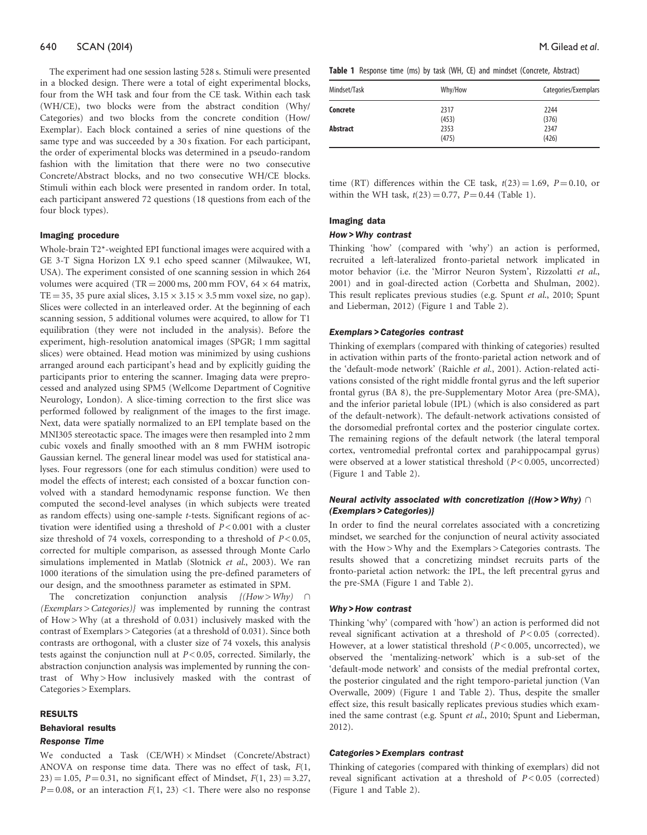## 640 SCAN (2014) M.Gilead et al.

The experiment had one session lasting 528 s. Stimuli were presented in a blocked design. There were a total of eight experimental blocks, four from the WH task and four from the CE task. Within each task (WH/CE), two blocks were from the abstract condition (Why/ Categories) and two blocks from the concrete condition (How/ Exemplar). Each block contained a series of nine questions of the same type and was succeeded by a 30 s fixation. For each participant, the order of experimental blocks was determined in a pseudo-random fashion with the limitation that there were no two consecutive Concrete/Abstract blocks, and no two consecutive WH/CE blocks. Stimuli within each block were presented in random order. In total, each participant answered 72 questions (18 questions from each of the four block types).

## Imaging procedure

Whole-brain T2\*-weighted EPI functional images were acquired with a GE 3-T Signa Horizon LX 9.1 echo speed scanner (Milwaukee, WI, USA). The experiment consisted of one scanning session in which 264 volumes were acquired (TR = 2000 ms, 200 mm FOV,  $64 \times 64$  matrix, TE = 35, 35 pure axial slices,  $3.15 \times 3.15 \times 3.5$  mm voxel size, no gap). Slices were collected in an interleaved order. At the beginning of each scanning session, 5 additional volumes were acquired, to allow for T1 equilibration (they were not included in the analysis). Before the experiment, high-resolution anatomical images (SPGR; 1 mm sagittal slices) were obtained. Head motion was minimized by using cushions arranged around each participant's head and by explicitly guiding the participants prior to entering the scanner. Imaging data were preprocessed and analyzed using SPM5 (Wellcome Department of Cognitive Neurology, London). A slice-timing correction to the first slice was performed followed by realignment of the images to the first image. Next, data were spatially normalized to an EPI template based on the MNI305 stereotactic space. The images were then resampled into 2 mm cubic voxels and finally smoothed with an 8 mm FWHM isotropic Gaussian kernel. The general linear model was used for statistical analyses. Four regressors (one for each stimulus condition) were used to model the effects of interest; each consisted of a boxcar function convolved with a standard hemodynamic response function. We then computed the second-level analyses (in which subjects were treated as random effects) using one-sample t-tests. Significant regions of activation were identified using a threshold of  $P < 0.001$  with a cluster size threshold of 74 voxels, corresponding to a threshold of  $P < 0.05$ , corrected for multiple comparison, as assessed through Monte Carlo simulations implemented in Matlab [\(Slotnick](#page-6-0) et al., 2003). We ran 1000 iterations of the simulation using the pre-defined parameters of our design, and the smoothness parameter as estimated in SPM.

The concretization conjunction analysis  $\{(How > Why) \cap$ (Exemplars > Categories)} was implemented by running the contrast of How > Why (at a threshold of 0.031) inclusively masked with the contrast of Exemplars > Categories (at a threshold of 0.031). Since both contrasts are orthogonal, with a cluster size of 74 voxels, this analysis tests against the conjunction null at  $P < 0.05$ , corrected. Similarly, the abstraction conjunction analysis was implemented by running the contrast of Why > How inclusively masked with the contrast of Categories > Exemplars.

## **RESULTS**

#### Behavioral results

#### Response Time

We conducted a Task (CE/WH) × Mindset (Concrete/Abstract) ANOVA on response time data. There was no effect of task,  $F(1, 1)$  $(23) = 1.05$ ,  $P = 0.31$ , no significant effect of Mindset,  $F(1, 23) = 3.27$ ,  $P = 0.08$ , or an interaction  $F(1, 23)$  <1. There were also no response

|  | Table 1 Response time (ms) by task (WH, CE) and mindset (Concrete, Abstract) |  |  |  |  |  |  |  |  |  |  |
|--|------------------------------------------------------------------------------|--|--|--|--|--|--|--|--|--|--|
|--|------------------------------------------------------------------------------|--|--|--|--|--|--|--|--|--|--|

| Mindset/Task    | Why/How | Categories/Exemplars |  |  |
|-----------------|---------|----------------------|--|--|
| Concrete        | 2317    | 2244                 |  |  |
|                 | (453)   | (376)                |  |  |
| <b>Abstract</b> | 2353    | 2347                 |  |  |
|                 | (475)   | (426)                |  |  |
|                 |         |                      |  |  |

time (RT) differences within the CE task,  $t(23) = 1.69$ ,  $P = 0.10$ , or within the WH task,  $t(23) = 0.77$ ,  $P = 0.44$  (Table 1).

## Imaging data

#### How > Why contrast

Thinking 'how' (compared with 'why') an action is performed, recruited a left-lateralized fronto-parietal network implicated in motor behavior (i.e. the 'Mirror Neuron System', [Rizzolatti](#page-6-0) et al., [2001\)](#page-6-0) and in goal-directed action ([Corbetta and Shulman, 2002](#page-6-0)). This result replicates previous studies (e.g. Spunt et al[., 2010; Spunt](#page-6-0) [and Lieberman, 2012](#page-6-0)) (Figure 1 and [Table 2](#page-4-0)).

### Exemplars > Categories contrast

Thinking of exemplars (compared with thinking of categories) resulted in activation within parts of the fronto-parietal action network and of the 'default-mode network' ([Raichle](#page-6-0) et al., 2001). Action-related activations consisted of the right middle frontal gyrus and the left superior frontal gyrus (BA 8), the pre-Supplementary Motor Area (pre-SMA), and the inferior parietal lobule (IPL) (which is also considered as part of the default-network). The default-network activations consisted of the dorsomedial prefrontal cortex and the posterior cingulate cortex. The remaining regions of the default network (the lateral temporal cortex, ventromedial prefrontal cortex and parahippocampal gyrus) were observed at a lower statistical threshold  $(P < 0.005$ , uncorrected) (Figure 1 and [Table 2](#page-4-0)).

# Neural activity associated with concretization  $\{(How > Why) \cap$ (Exemplars > Categories)}

In order to find the neural correlates associated with a concretizing mindset, we searched for the conjunction of neural activity associated with the How > Why and the Exemplars > Categories contrasts. The results showed that a concretizing mindset recruits parts of the fronto-parietal action network: the IPL, the left precentral gyrus and the pre-SMA (Figure 1 and [Table 2\)](#page-4-0).

## Why > How contrast

Thinking 'why' (compared with 'how') an action is performed did not reveal significant activation at a threshold of  $P < 0.05$  (corrected). However, at a lower statistical threshold  $(P< 0.005$ , uncorrected), we observed the 'mentalizing-network' which is a sub-set of the 'default-mode network' and consists of the medial prefrontal cortex, the posterior cingulated and the right temporo-parietal junction [\(Van](#page-6-0) [Overwalle, 2009](#page-6-0)) (Figure 1 and [Table 2](#page-4-0)). Thus, despite the smaller effect size, this result basically replicates previous studies which examined the same contrast (e.g. Spunt et al[., 2010](#page-6-0); [Spunt and Lieberman,](#page-6-0) [2012\)](#page-6-0).

#### Categories > Exemplars contrast

Thinking of categories (compared with thinking of exemplars) did not reveal significant activation at a threshold of  $P < 0.05$  (corrected) (Figure 1 and [Table 2](#page-4-0)).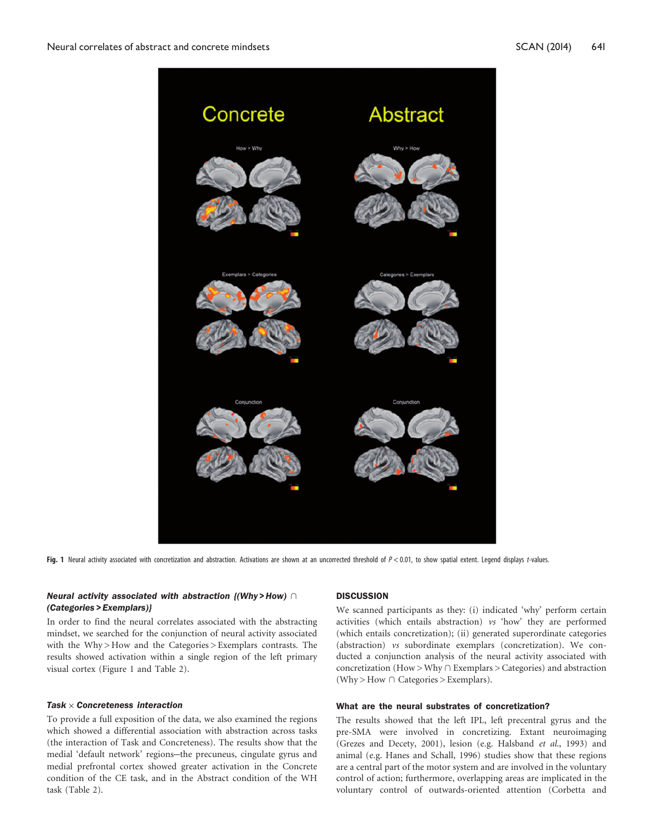

Fig. 1 Neural activity associated with concretization and abstraction. Activations are shown at an uncorrected threshold of  $P < 0.01$ , to show spatial extent. Legend displays t-values.

# Neural activity associated with abstraction  $\{(\text{Why} > \text{How}) \cap \}$ (Categories > Exemplars)}

In order to find the neural correlates associated with the abstracting mindset, we searched for the conjunction of neural activity associated with the Why > How and the Categories > Exemplars contrasts. The results showed activation within a single region of the left primary visual cortex (Figure 1 and [Table 2\)](#page-4-0).

## Task  $\times$  Concreteness interaction

To provide a full exposition of the data, we also examined the regions which showed a differential association with abstraction across tasks (the interaction of Task and Concreteness). The results show that the medial 'default network' regions-the precuneus, cingulate gyrus and medial prefrontal cortex showed greater activation in the Concrete condition of the CE task, and in the Abstract condition of the WH task ([Table 2](#page-4-0)).

## **DISCUSSION**

We scanned participants as they: (i) indicated 'why' perform certain activities (which entails abstraction) vs 'how' they are performed (which entails concretization); (ii) generated superordinate categories (abstraction) vs subordinate exemplars (concretization). We conducted a conjunction analysis of the neural activity associated with concretization (How  $>$  Why  $\cap$  Exemplars  $>$  Categories) and abstraction (Why > How  $\cap$  Categories > Exemplars).

# What are the neural substrates of concretization?

The results showed that the left IPL, left precentral gyrus and the pre-SMA were involved in concretizing. Extant neuroimaging ([Grezes and Decety, 2001](#page-6-0)), lesion (e.g. [Halsband](#page-6-0) et al., 1993) and animal (e.g. [Hanes and Schall, 1996\)](#page-6-0) studies show that these regions are a central part of the motor system and are involved in the voluntary control of action; furthermore, overlapping areas are implicated in the voluntary control of outwards-oriented attention ([Corbetta and](#page-6-0)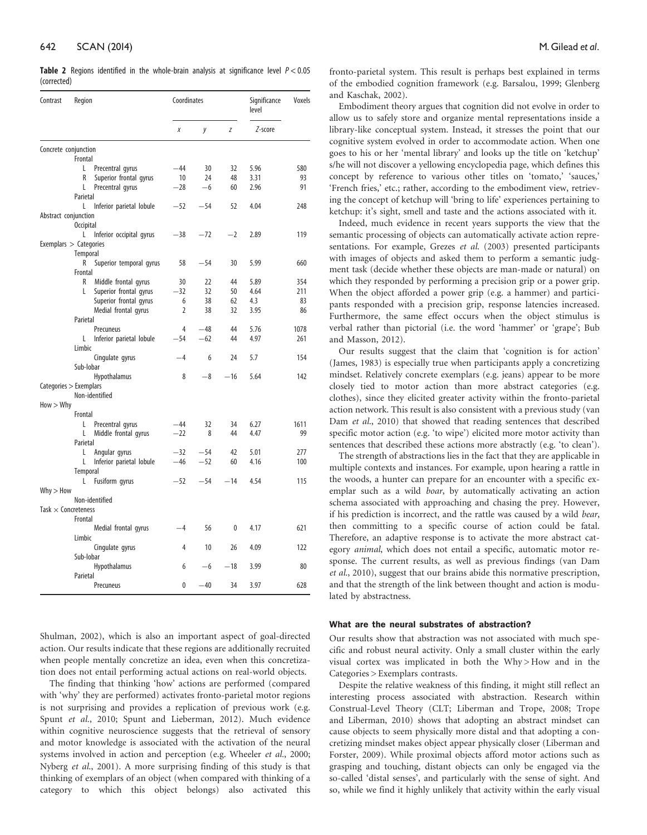<span id="page-4-0"></span>**Table 2** Regions identified in the whole-brain analysis at significance level  $P < 0.05$ (corrected)

| Contrast                   | Region           |                          | Coordinates    |       |       | Significance<br>level<br>Z-score | Voxels |
|----------------------------|------------------|--------------------------|----------------|-------|-------|----------------------------------|--------|
|                            |                  |                          | X              | у     | Z     |                                  |        |
| Concrete conjunction       |                  |                          |                |       |       |                                  |        |
|                            | Frontal          |                          |                |       |       |                                  |        |
|                            | L                | Precentral gyrus         | $-44$          | 30    | 32    | 5.96                             | 580    |
|                            | R                | Superior frontal gyrus   | 10             | 24    | 48    | 3.31                             | 93     |
|                            | L                | Precentral gyrus         | $-28$          | $-6$  | 60    | 2.96                             | 91     |
|                            | Parietal         |                          |                |       |       |                                  |        |
|                            | L                | Inferior parietal lobule | $-52$          | $-54$ | 52    | 4.04                             | 248    |
| Abstract conjunction       |                  |                          |                |       |       |                                  |        |
|                            | <b>Occipital</b> |                          |                |       |       |                                  |        |
|                            | L                | Inferior occipital gyrus | $-38$          | $-72$ | $-2$  | 2.89                             | 119    |
| Exemplars > Categories     |                  |                          |                |       |       |                                  |        |
|                            | Temporal         |                          |                |       |       |                                  |        |
|                            | R                | Superior temporal gyrus  | 58             | $-54$ | 30    | 5.99                             | 660    |
|                            | Frontal          |                          |                |       |       |                                  |        |
|                            | R                | Middle frontal gyrus     | 30             | 22    | 44    | 5.89                             | 354    |
|                            | L                | Superior frontal gyrus   | $-32$          | 32    | 50    | 4.64                             | 211    |
|                            |                  | Superior frontal gyrus   | 6              | 38    | 62    | 4.3                              | 83     |
|                            |                  | Medial frontal gyrus     | $\overline{2}$ | 38    | 32    | 3.95                             | 86     |
|                            | Parietal         |                          |                |       |       |                                  |        |
|                            |                  | Precuneus                | 4              | $-48$ | 44    | 5.76                             | 1078   |
|                            | L                | Inferior parietal lobule | $-54$          | $-62$ | 44    | 4.97                             | 261    |
|                            | Limbic           |                          |                |       |       |                                  |        |
|                            |                  | Cingulate gyrus          | $-4$           | 6     | 24    | 5.7                              | 154    |
|                            | Sub-lobar        |                          |                |       |       |                                  |        |
|                            |                  | Hypothalamus             | 8              | $-8$  | $-16$ | 5.64                             | 142    |
| Categories > Exemplars     |                  |                          |                |       |       |                                  |        |
|                            |                  | Non-identified           |                |       |       |                                  |        |
| How > Why                  |                  |                          |                |       |       |                                  |        |
|                            | Frontal          |                          |                |       |       |                                  |        |
|                            | L                | Precentral gyrus         | $-44$          | 32    | 34    | 6.27                             | 1611   |
|                            | L                | Middle frontal gyrus     | $-22$          | 8     | 44    | 4.47                             | 99     |
|                            | Parietal         |                          |                |       |       |                                  |        |
|                            | L                | Angular gyrus            | $-32$          | $-54$ | 42    | 5.01                             | 277    |
|                            | L                | Inferior parietal lobule | $-46$          | $-52$ | 60    | 4.16                             | 100    |
|                            | Temporal         |                          |                |       |       |                                  |        |
|                            | L                | Fusiform gyrus           | $-52$          | $-54$ | $-14$ | 4.54                             | 115    |
| Why > How                  |                  |                          |                |       |       |                                  |        |
|                            |                  | Non-identified           |                |       |       |                                  |        |
| Task $\times$ Concreteness |                  |                          |                |       |       |                                  |        |
|                            | Frontal          |                          |                |       |       |                                  |        |
|                            |                  | Medial frontal gyrus     | $-4$           | 56    | 0     | 4.17                             | 621    |
|                            | Limbic           |                          |                |       |       |                                  |        |
|                            |                  | Cingulate gyrus          | 4              | 10    | 26    | 4.09                             | 122    |
|                            | Sub-lobar        |                          |                |       |       |                                  |        |
|                            |                  | <b>Hypothalamus</b>      | 6              | -6    | $-18$ | 3.99                             | 80     |
|                            | Parietal         |                          |                |       |       |                                  |        |
|                            |                  | Precuneus                | $\mathbf{0}$   | $-40$ | 34    | 3.97                             | 628    |
|                            |                  |                          |                |       |       |                                  |        |

[Shulman, 2002](#page-6-0)), which is also an important aspect of goal-directed action. Our results indicate that these regions are additionally recruited when people mentally concretize an idea, even when this concretization does not entail performing actual actions on real-world objects.

The finding that thinking 'how' actions are performed (compared with 'why' they are performed) activates fronto-parietal motor regions is not surprising and provides a replication of previous work (e.g. Spunt et al.[, 2010](#page-6-0); [Spunt and Lieberman, 2012](#page-6-0)). Much evidence within cognitive neuroscience suggests that the retrieval of sensory and motor knowledge is associated with the activation of the neural systems involved in action and perception (e.g. [Wheeler](#page-6-0) et al., 2000; [Nyberg](#page-6-0) et al., 2001). A more surprising finding of this study is that thinking of exemplars of an object (when compared with thinking of a category to which this object belongs) also activated this fronto-parietal system. This result is perhaps best explained in terms of the embodied cognition framework (e.g. [Barsalou, 1999;](#page-5-0) [Glenberg](#page-6-0) [and Kaschak, 2002](#page-6-0)).

Embodiment theory argues that cognition did not evolve in order to allow us to safely store and organize mental representations inside a library-like conceptual system. Instead, it stresses the point that our cognitive system evolved in order to accommodate action. When one goes to his or her 'mental library' and looks up the title on 'ketchup' s/he will not discover a yellowing encyclopedia page, which defines this concept by reference to various other titles on 'tomato,' 'sauces,' 'French fries,' etc.; rather, according to the embodiment view, retrieving the concept of ketchup will 'bring to life' experiences pertaining to ketchup: it's sight, smell and taste and the actions associated with it.

Indeed, much evidence in recent years supports the view that the semantic processing of objects can automatically activate action repre-sentations. For example, Grezes et al[. \(2003\)](#page-6-0) presented participants with images of objects and asked them to perform a semantic judgment task (decide whether these objects are man-made or natural) on which they responded by performing a precision grip or a power grip. When the object afforded a power grip (e.g. a hammer) and participants responded with a precision grip, response latencies increased. Furthermore, the same effect occurs when the object stimulus is verbal rather than pictorial (i.e. the word 'hammer' or 'grape'; [Bub](#page-5-0) [and Masson, 2012\)](#page-5-0).

Our results suggest that the claim that 'cognition is for action' [\(James, 1983](#page-6-0)) is especially true when participants apply a concretizing mindset. Relatively concrete exemplars (e.g. jeans) appear to be more closely tied to motor action than more abstract categories (e.g. clothes), since they elicited greater activity within the fronto-parietal action network. This result is also consistent with a previous study ([van](#page-6-0) Dam et al[., 2010\)](#page-6-0) that showed that reading sentences that described specific motor action (e.g. 'to wipe') elicited more motor activity than sentences that described these actions more abstractly (e.g. 'to clean').

The strength of abstractions lies in the fact that they are applicable in multiple contexts and instances. For example, upon hearing a rattle in the woods, a hunter can prepare for an encounter with a specific exemplar such as a wild boar, by automatically activating an action schema associated with approaching and chasing the prey. However, if his prediction is incorrect, and the rattle was caused by a wild bear, then committing to a specific course of action could be fatal. Therefore, an adaptive response is to activate the more abstract category animal, which does not entail a specific, automatic motor response. The current results, as well as previous findings [\(van Dam](#page-6-0) et al[., 2010](#page-6-0)), suggest that our brains abide this normative prescription, and that the strength of the link between thought and action is modulated by abstractness.

#### What are the neural substrates of abstraction?

Our results show that abstraction was not associated with much specific and robust neural activity. Only a small cluster within the early visual cortex was implicated in both the Why > How and in the Categories > Exemplars contrasts.

Despite the relative weakness of this finding, it might still reflect an interesting process associated with abstraction. Research within Construal-Level Theory (CLT; [Liberman and Trope, 2008; Trope](#page-6-0) [and Liberman, 2010](#page-6-0)) shows that adopting an abstract mindset can cause objects to seem physically more distal and that adopting a concretizing mindset makes object appear physically closer ([Liberman and](#page-6-0) [Forster, 2009](#page-6-0)). While proximal objects afford motor actions such as grasping and touching, distant objects can only be engaged via the so-called 'distal senses', and particularly with the sense of sight. And so, while we find it highly unlikely that activity within the early visual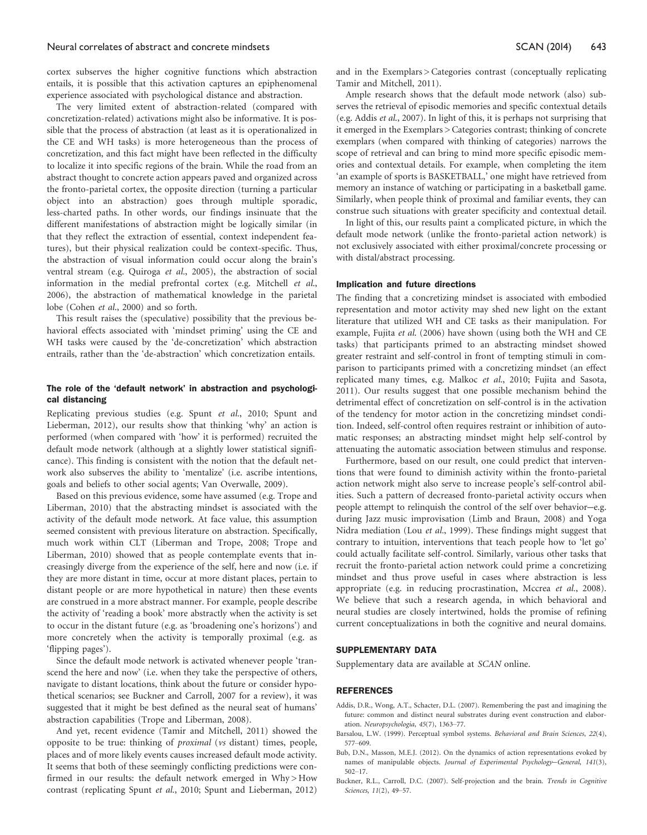## <span id="page-5-0"></span>Neural correlates of abstract and concrete mindsets SCAN (2014) 643

cortex subserves the higher cognitive functions which abstraction entails, it is possible that this activation captures an epiphenomenal experience associated with psychological distance and abstraction.

The very limited extent of abstraction-related (compared with concretization-related) activations might also be informative. It is possible that the process of abstraction (at least as it is operationalized in the CE and WH tasks) is more heterogeneous than the process of concretization, and this fact might have been reflected in the difficulty to localize it into specific regions of the brain. While the road from an abstract thought to concrete action appears paved and organized across the fronto-parietal cortex, the opposite direction (turning a particular object into an abstraction) goes through multiple sporadic, less-charted paths. In other words, our findings insinuate that the different manifestations of abstraction might be logically similar (in that they reflect the extraction of essential, context independent features), but their physical realization could be context-specific. Thus, the abstraction of visual information could occur along the brain's ventral stream (e.g. [Quiroga](#page-6-0) et al., 2005), the abstraction of social information in the medial prefrontal cortex (e.g. [Mitchell](#page-6-0) et al., [2006\)](#page-6-0), the abstraction of mathematical knowledge in the parietal lobe (Cohen et al[., 2000\)](#page-6-0) and so forth.

This result raises the (speculative) possibility that the previous behavioral effects associated with 'mindset priming' using the CE and WH tasks were caused by the 'de-concretization' which abstraction entrails, rather than the 'de-abstraction' which concretization entails.

## The role of the 'default network' in abstraction and psychological distancing

Replicating previous studies (e.g. Spunt et al.[, 2010; Spunt and](#page-6-0) [Lieberman, 2012](#page-6-0)), our results show that thinking 'why' an action is performed (when compared with 'how' it is performed) recruited the default mode network (although at a slightly lower statistical significance). This finding is consistent with the notion that the default network also subserves the ability to 'mentalize' (i.e. ascribe intentions, goals and beliefs to other social agents; [Van Overwalle, 2009](#page-6-0)).

Based on this previous evidence, some have assumed (e.g. [Trope and](#page-6-0) [Liberman, 2010](#page-6-0)) that the abstracting mindset is associated with the activity of the default mode network. At face value, this assumption seemed consistent with previous literature on abstraction. Specifically, much work within CLT [\(Liberman and Trope, 2008](#page-6-0); [Trope and](#page-6-0) [Liberman, 2010](#page-6-0)) showed that as people contemplate events that increasingly diverge from the experience of the self, here and now (i.e. if they are more distant in time, occur at more distant places, pertain to distant people or are more hypothetical in nature) then these events are construed in a more abstract manner. For example, people describe the activity of 'reading a book' more abstractly when the activity is set to occur in the distant future (e.g. as 'broadening one's horizons') and more concretely when the activity is temporally proximal (e.g. as 'flipping pages').

Since the default mode network is activated whenever people 'transcend the here and now' (i.e. when they take the perspective of others, navigate to distant locations, think about the future or consider hypothetical scenarios; see Buckner and Carroll, 2007 for a review), it was suggested that it might be best defined as the neural seat of humans' abstraction capabilities (Trope and Liberman, 2008).

And yet, recent evidence ([Tamir and Mitchell, 2011\)](#page-6-0) showed the opposite to be true: thinking of proximal (vs distant) times, people, places and of more likely events causes increased default mode activity. It seems that both of these seemingly conflicting predictions were confirmed in our results: the default network emerged in Why > How contrast (replicating Spunt et al[., 2010](#page-6-0); [Spunt and Lieberman, 2012](#page-6-0))

and in the Exemplars > Categories contrast (conceptually replicating [Tamir and Mitchell, 2011\)](#page-6-0).

Ample research shows that the default mode network (also) subserves the retrieval of episodic memories and specific contextual details (e.g. Addis et al., 2007). In light of this, it is perhaps not surprising that it emerged in the Exemplars > Categories contrast; thinking of concrete exemplars (when compared with thinking of categories) narrows the scope of retrieval and can bring to mind more specific episodic memories and contextual details. For example, when completing the item 'an example of sports is BASKETBALL,' one might have retrieved from memory an instance of watching or participating in a basketball game. Similarly, when people think of proximal and familiar events, they can construe such situations with greater specificity and contextual detail.

In light of this, our results paint a complicated picture, in which the default mode network (unlike the fronto-parietal action network) is not exclusively associated with either proximal/concrete processing or with distal/abstract processing.

#### Implication and future directions

The finding that a concretizing mindset is associated with embodied representation and motor activity may shed new light on the extant literature that utilized WH and CE tasks as their manipulation. For example, Fujita et al[. \(2006\)](#page-6-0) have shown (using both the WH and CE tasks) that participants primed to an abstracting mindset showed greater restraint and self-control in front of tempting stimuli in comparison to participants primed with a concretizing mindset (an effect replicated many times, e.g. [Malkoc](#page-6-0) et al., 2010; [Fujita and Sasota,](#page-6-0) [2011\)](#page-6-0). Our results suggest that one possible mechanism behind the detrimental effect of concretization on self-control is in the activation of the tendency for motor action in the concretizing mindset condition. Indeed, self-control often requires restraint or inhibition of automatic responses; an abstracting mindset might help self-control by attenuating the automatic association between stimulus and response.

Furthermore, based on our result, one could predict that interventions that were found to diminish activity within the fronto-parietal action network might also serve to increase people's self-control abilities. Such a pattern of decreased fronto-parietal activity occurs when people attempt to relinquish the control of the self over behavior-e.g. during Jazz music improvisation [\(Limb and Braun, 2008](#page-6-0)) and Yoga Nidra mediation (Lou et al.[, 1999\)](#page-6-0). These findings might suggest that contrary to intuition, interventions that teach people how to 'let go' could actually facilitate self-control. Similarly, various other tasks that recruit the fronto-parietal action network could prime a concretizing mindset and thus prove useful in cases where abstraction is less appropriate (e.g. in reducing procrastination, [Mccrea](#page-6-0) et al., 2008). We believe that such a research agenda, in which behavioral and neural studies are closely intertwined, holds the promise of refining current conceptualizations in both the cognitive and neural domains.

#### SUPPLEMENTARY DATA

[Supplementary data](http://scan.oxfordjournals.org/lookup/suppl/doi:10.1093/scan/nst031/-/DC1) are available at SCAN online.

#### REFERENCES

- Addis, D.R., Wong, A.T., Schacter, D.L. (2007). Remembering the past and imagining the future: common and distinct neural substrates during event construction and elaboration. Neuropsychologia, 45(7), 1363–77.
- Barsalou, L.W. (1999). Perceptual symbol systems. Behavioral and Brain Sciences, 22(4), 577–609.
- Bub, D.N., Masson, M.E.J. (2012). On the dynamics of action representations evoked by names of manipulable objects. Journal of Experimental Psychology-General, 141(3), 502–17.
- Buckner, R.L., Carroll, D.C. (2007). Self-projection and the brain. Trends in Cognitive Sciences, 11(2), 49–57.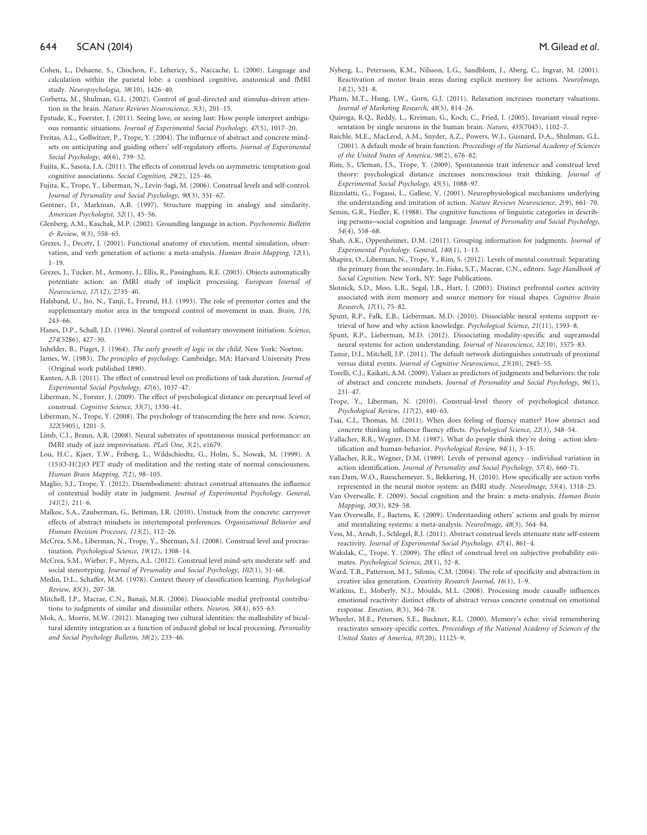# <span id="page-6-0"></span>644 SCAN (2014) M.Gilead et al.

- Cohen, L., Dehaene, S., Chochon, F., Lehericy, S., Naccache, L. (2000). Language and calculation within the parietal lobe: a combined cognitive, anatomical and fMRI study. Neuropsychologia, 38(10), 1426–40.
- Corbetta, M., Shulman, G.L. (2002). Control of goal-directed and stimulus-driven attention in the brain. Nature Reviews Neuroscience, 3(3), 201–15.
- Epstude, K., Foerster, J. (2011). Seeing love, or seeing lust: How people interpret ambiguous romantic situations. Journal of Experimental Social Psychology, 47(5), 1017–20.
- Freitas, A.L., Gollwitzer, P., Trope, Y. (2004). The influence of abstract and concrete mindsets on anticipating and guiding others' self-regulatory efforts. Journal of Experimental Social Psychology, 40(6), 739–52.
- Fujita, K., Sasota, J.A. (2011). The effects of construal levels on asymmetric temptation-goal cognitive associations. Social Cognition, 29(2), 125–46.
- Fujita, K., Trope, Y., Liberman, N., Levin-Sagi, M. (2006). Construal levels and self-control. Journal of Personality and Social Psychology, 90(3), 351–67.
- Gentner, D., Markman, A.B. (1997). Structure mapping in analogy and similarity. American Psychologist, 52(1), 45–56.
- Glenberg, A.M., Kaschak, M.P. (2002). Grounding language in action. Psychonomic Bulletin & Review, 9(3), 558–65.
- Grezes, J., Decety, J. (2001). Functional anatomy of execution, mental simulation, observation, and verb generation of actions: a meta-analysis. Human Brain Mapping, 12(1),  $1 - 19$
- Grezes, J., Tucker, M., Armony, J., Ellis, R., Passingham, R.E. (2003). Objects automatically potentiate action: an fMRI study of implicit processing. European Journal of Neuroscience, 17(12), 2735–40.
- Halsband, U., Ito, N., Tanji, J., Freund, H.J. (1993). The role of premotor cortex and the supplementary motor area in the temporal control of movement in man. Brain, 116, 243–66.
- Hanes, D.P., Schall, J.D. (1996). Neural control of voluntary movement initiation. Science, 274(5286), 427–30.
- Inhelder, B., Piaget, J. (1964). The early growth of logic in the child. New York: Norton.
- James, W. (1983). The principles of psychology. Cambridge, MA: Harvard University Press (Original work published 1890).
- Kanten, A.B. (2011). The effect of construal level on predictions of task duration. Journal of Experimental Social Psychology, 47(6), 1037–47.
- Liberman, N., Forster, J. (2009). The effect of psychological distance on perceptual level of construal. Cognitive Science, 33(7), 1330–41.
- Liberman, N., Trope, Y. (2008). The psychology of transcending the here and now. Science, 322(5905), 1201–5.
- Limb, C.J., Braun, A.R. (2008). Neural substrates of spontaneous musical performance: an fMRI study of jazz improvisation. PLoS One, 3(2), e1679.
- Lou, H.C., Kjaer, T.W., Friberg, L., Wildschiodtz, G., Holm, S., Nowak, M. (1999). A (15)O-H(2)O PET study of meditation and the resting state of normal consciousness. Human Brain Mapping, 7(2), 98–105.
- Maglio, S.J., Trope, Y. (2012). Disembodiment: abstract construal attenuates the influence of contextual bodily state in judgment. Journal of Experimental Psychology. General, 141(2), 211–6.
- Malkoc, S.A., Zauberman, G., Bettman, J.R. (2010). Unstuck from the concrete: carryover effects of abstract mindsets in intertemporal preferences. Organizational Behavior and Human Decision Processes, 113(2), 112–26.
- McCrea, S.M., Liberman, N., Trope, Y., Sherman, S.J. (2008). Construal level and procrastination. Psychological Science, 19(12), 1308–14.
- McCrea, S.M., Wieber, F., Myers, A.L. (2012). Construal level mind-sets moderate self- and social stereotyping. Journal of Personality and Social Psychology, 102(1), 51–68.
- Medin, D.L., Schaffer, M.M. (1978). Context theory of classification learning. Psychological Review, 85(3), 207–38.
- Mitchell, J.P., Macrae, C.N., Banaji, M.R. (2006). Dissociable medial prefrontal contributions to judgments of similar and dissimilar others. Neuron, 50(4), 655–63.
- Mok, A., Morris, M.W. (2012). Managing two cultural identities: the malleability of bicultural identity integration as a function of induced global or local processing. Personality and Social Psychology Bulletin, 38(2), 233–46.
- Nyberg, L., Petersson, K.M., Nilsson, L.G., Sandblom, J., Aberg, C., Ingvar, M. (2001). Reactivation of motor brain areas during explicit memory for actions. NeuroImage, 14(2), 521–8.
- Pham, M.T., Hung, I.W., Gorn, G.J. (2011). Relaxation increases monetary valuations. Journal of Marketing Research, 48(5), 814–26.
- Quiroga, R.Q., Reddy, L., Kreiman, G., Koch, C., Fried, I. (2005). Invariant visual representation by single neurons in the human brain. Nature, 435(7045), 1102–7.
- Raichle, M.E., MacLeod, A.M., Snyder, A.Z., Powers, W.J., Gusnard, D.A., Shulman, G.L. (2001). A default mode of brain function. Proceedings of the National Academy of Sciences of the United States of America, 98(2), 676–82.
- Rim, S., Uleman, J.S., Trope, Y. (2009). Spontaneous trait inference and construal level theory: psychological distance increases nonconscious trait thinking. Journal of Experimental Social Psychology, 45(5), 1088–97.
- Rizzolatti, G., Fogassi, L., Gallese, V. (2001). Neurophysiological mechanisms underlying the understanding and imitation of action. Nature Reviews Neuroscience, 2(9), 661–70.
- Semin, G.R., Fiedler, K. (1988). The cognitive functions of linguistic categories in describing persons-social cognition and language. Journal of Personality and Social Psychology, 54(4), 558–68.
- Shah, A.K., Oppenheimer, D.M. (2011). Grouping information for judgments. Journal of Experimental Psychology. General, 140(1), 1–13.
- Shapira, O., Liberman, N., Trope, Y., Rim, S. (2012). Levels of mental construal: Separating the primary from the secondary. In: Fiske, S.T., Macrae, C.N., editors. Sage Handbook of Social Cognition. New York, NY: Sage Publications.
- Slotnick, S.D., Moo, L.R., Segal, J.B., Hart, J. (2003). Distinct prefrontal cortex activity associated with item memory and source memory for visual shapes. Cognitive Brain Research, 17(1), 75–82.
- Spunt, R.P., Falk, E.B., Lieberman, M.D. (2010). Dissociable neural systems support retrieval of how and why action knowledge. Psychological Science, 21(11), 1593–8.
- Spunt, R.P., Lieberman, M.D. (2012). Dissociating modality-specific and supramodal neural systems for action understanding. Journal of Neuroscience, 32(10), 3575–83.
- Tamir, D.I., Mitchell, J.P. (2011). The default network distinguishes construals of proximal versus distal events. Journal of Cognitive Neuroscience, 23(10), 2945–55.
- Torelli, C.J., Kaikati, A.M. (2009). Values as predictors of judgments and behaviors: the role of abstract and concrete mindsets. Journal of Personality and Social Psychology, 96(1), 231–47.
- Trope, Y., Liberman, N. (2010). Construal-level theory of psychological distance. Psychological Review, 117(2), 440–63.
- Tsai, C.I., Thomas, M. (2011). When does feeling of fluency matter? How abstract and concrete thinking influence fluency effects. Psychological Science, 22(3), 348–54.
- Vallacher, R.R., Wegner, D.M. (1987). What do people think they're doing action identification and human-behavior. Psychological Review, 94(1), 3–15.
- Vallacher, R.R., Wegner, D.M. (1989). Levels of personal agency individual variation in action identification. Journal of Personality and Social Psychology, 57(4), 660–71.
- van Dam, W.O., Rueschemeyer, S., Bekkering, H. (2010). How specifically are action verbs represented in the neural motor system: an fMRI study. NeuroImage, 53(4), 1318–25.
- Van Overwalle, F. (2009). Social cognition and the brain: a meta-analysis. Human Brain Mapping, 30(3), 829–58.
- Van Overwalle, F., Baetens, K. (2009). Understanding others' actions and goals by mirror and mentalizing systems: a meta-analysis. NeuroImage, 48(3), 564–84.
- Vess, M., Arndt, J., Schlegel, R.J. (2011). Abstract construal levels attenuate state self-esteem reactivity. Journal of Experimental Social Psychology, 47(4), 861–4.
- Wakslak, C., Trope, Y. (2009). The effect of construal level on subjective probability estimates. Psychological Science, 20(1), 52–8.
- Ward, T.B., Patterson, M.J., Sifonis, C.M. (2004). The role of specificity and abstraction in creative idea generation. Creativity Research Journal, 16(1), 1–9.
- Watkins, E., Moberly, N.J., Moulds, M.L. (2008). Processing mode causally influences emotional reactivity: distinct effects of abstract versus concrete construal on emotional response. Emotion, 8(3), 364–78.
- Wheeler, M.E., Petersen, S.E., Buckner, R.L. (2000). Memory's echo: vivid remembering reactivates sensory-specific cortex. Proceedings of the National Academy of Sciences of the United States of America, 97(20), 11125–9.